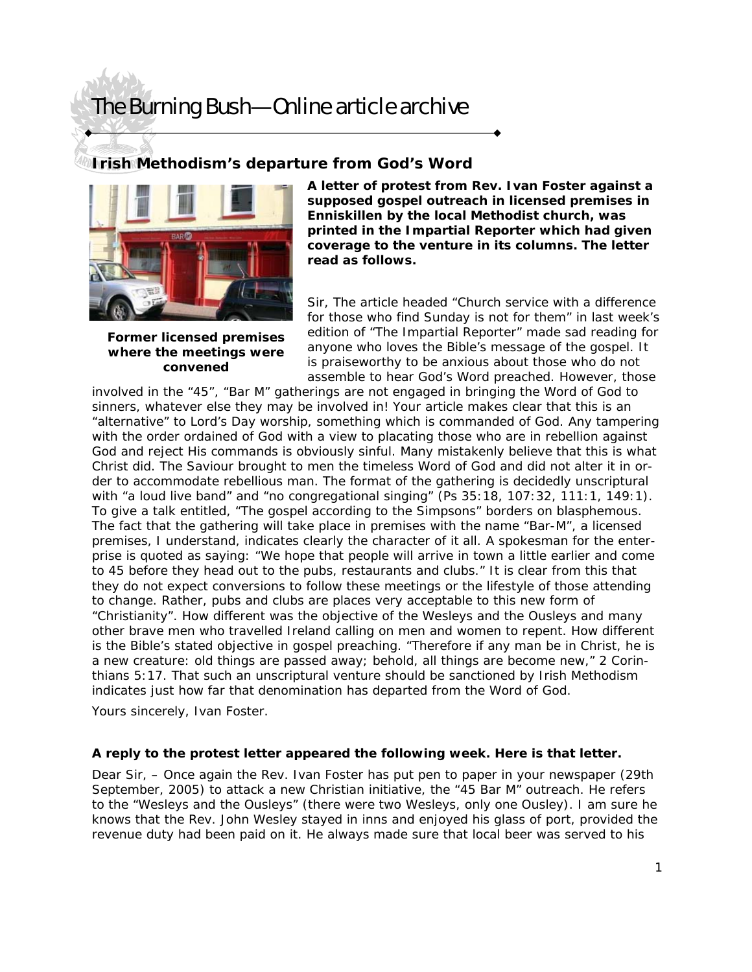### **Irish Methodism's departure from God's Word**



**Former licensed premises where the meetings were convened** 

**A letter of protest from Rev. Ivan Foster against a supposed gospel outreach in licensed premises in Enniskillen by the local Methodist church, was printed in the Impartial Reporter which had given coverage to the venture in its columns. The letter read as follows.** 

Sir, The article headed "Church service with a difference for those who find Sunday is not for them" in last week's edition of "The Impartial Reporter" made sad reading for anyone who loves the Bible's message of the gospel. It is praiseworthy to be anxious about those who do not assemble to hear God's Word preached. However, those

involved in the "45", "Bar M" gatherings are not engaged in bringing the Word of God to sinners, whatever else they may be involved in! Your article makes clear that this is an "alternative" to Lord's Day worship, something which is commanded of God. Any tampering with the order ordained of God with a view to placating those who are in rebellion against God and reject His commands is obviously sinful. Many mistakenly believe that this is what Christ did. The Saviour brought to men the timeless Word of God and did not alter it in order to accommodate rebellious man. The format of the gathering is decidedly unscriptural with "a loud live band" and "no congregational singing" (Ps 35:18, 107:32, 111:1, 149:1). To give a talk entitled, "The gospel according to the Simpsons" borders on blasphemous. The fact that the gathering will take place in premises with the name "Bar-M", a licensed premises, I understand, indicates clearly the character of it all. A spokesman for the enterprise is quoted as saying: "We hope that people will arrive in town a little earlier and come to 45 before they head out to the pubs, restaurants and clubs." It is clear from this that they do not expect conversions to follow these meetings or the lifestyle of those attending to change. Rather, pubs and clubs are places very acceptable to this new form of "Christianity". How different was the objective of the Wesleys and the Ousleys and many other brave men who travelled Ireland calling on men and women to repent. How different is the Bible's stated objective in gospel preaching. "Therefore if any man be in Christ, he is a new creature: old things are passed away; behold, all things are become new," 2 Corinthians 5:17. That such an unscriptural venture should be sanctioned by Irish Methodism indicates just how far that denomination has departed from the Word of God.

Yours sincerely, Ivan Foster.

#### **A reply to the protest letter appeared the following week. Here is that letter.**

Dear Sir, – Once again the Rev. Ivan Foster has put pen to paper in your newspaper (29th September, 2005) to attack a new Christian initiative, the "45 Bar M" outreach. He refers to the "Wesleys and the Ousleys" (there were two Wesleys, only one Ousley). I am sure he knows that the Rev. John Wesley stayed in inns and enjoyed his glass of port, provided the revenue duty had been paid on it. He always made sure that local beer was served to his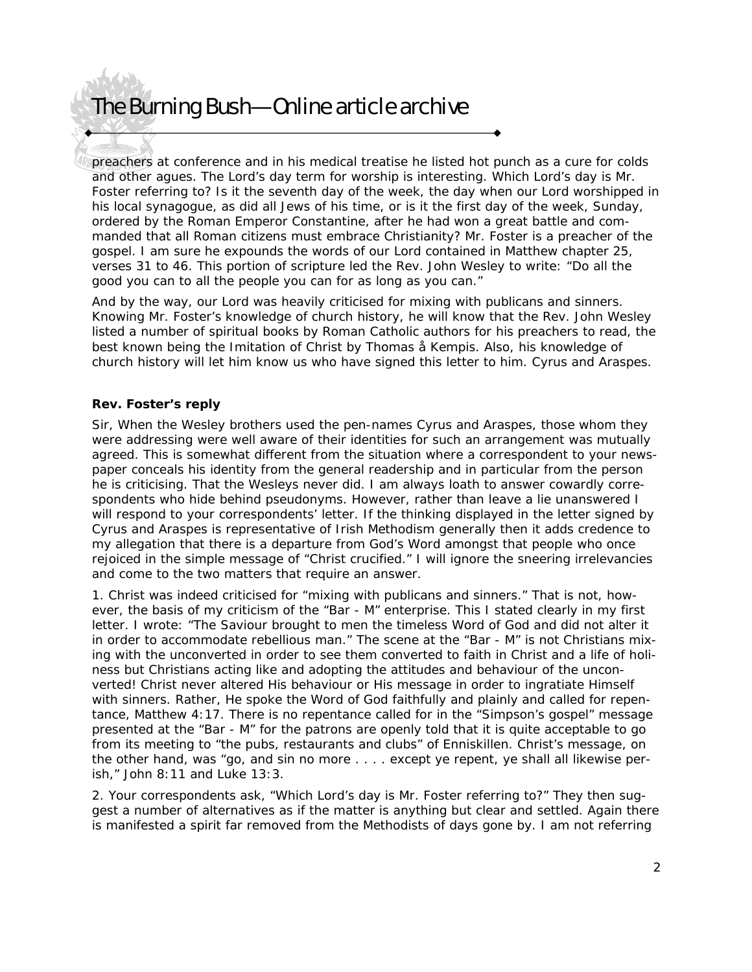preachers at conference and in his medical treatise he listed hot punch as a cure for colds and other agues. The Lord's day term for worship is interesting. Which Lord's day is Mr. Foster referring to? Is it the seventh day of the week, the day when our Lord worshipped in his local synagogue, as did all Jews of his time, or is it the first day of the week, Sunday, ordered by the Roman Emperor Constantine, after he had won a great battle and commanded that all Roman citizens must embrace Christianity? Mr. Foster is a preacher of the gospel. I am sure he expounds the words of our Lord contained in Matthew chapter 25, verses 31 to 46. This portion of scripture led the Rev. John Wesley to write: "Do all the good you can to all the people you can for as long as you can."

And by the way, our Lord was heavily criticised for mixing with publicans and sinners. Knowing Mr. Foster's knowledge of church history, he will know that the Rev. John Wesley listed a number of spiritual books by Roman Catholic authors for his preachers to read, the best known being the Imitation of Christ by Thomas å Kempis. Also, his knowledge of church history will let him know us who have signed this letter to him. Cyrus and Araspes.

#### **Rev. Foster's reply**

Sir, When the Wesley brothers used the pen-names Cyrus and Araspes, those whom they were addressing were well aware of their identities for such an arrangement was mutually agreed. This is somewhat different from the situation where a correspondent to your newspaper conceals his identity from the general readership and in particular from the person he is criticising. That the Wesleys never did. I am always loath to answer cowardly correspondents who hide behind pseudonyms. However, rather than leave a lie unanswered I will respond to your correspondents' letter. If the thinking displayed in the letter signed by Cyrus and Araspes is representative of Irish Methodism generally then it adds credence to my allegation that there is a departure from God's Word amongst that people who once rejoiced in the simple message of "Christ crucified." I will ignore the sneering irrelevancies and come to the two matters that require an answer.

1. Christ was indeed criticised for "mixing with publicans and sinners." That is not, however, the basis of my criticism of the "Bar - M" enterprise. This I stated clearly in my first letter. I wrote: "The Saviour brought to men the timeless Word of God and did not alter it in order to accommodate rebellious man." The scene at the "Bar - M" is not Christians mixing with the unconverted in order to see them converted to faith in Christ and a life of holiness but Christians acting like and adopting the attitudes and behaviour of the unconverted! Christ never altered His behaviour or His message in order to ingratiate Himself with sinners. Rather, He spoke the Word of God faithfully and plainly and called for repentance, Matthew 4:17. There is no repentance called for in the "Simpson's gospel" message presented at the "Bar - M" for the patrons are openly told that it is quite acceptable to go from its meeting to "the pubs, restaurants and clubs" of Enniskillen. Christ's message, on the other hand, was "go, and sin no more . . . . except ye repent, ye shall all likewise perish," John 8:11 and Luke 13:3.

2. Your correspondents ask, "Which Lord's day is Mr. Foster referring to?" They then suggest a number of alternatives as if the matter is anything but clear and settled. Again there is manifested a spirit far removed from the Methodists of days gone by. I am not referring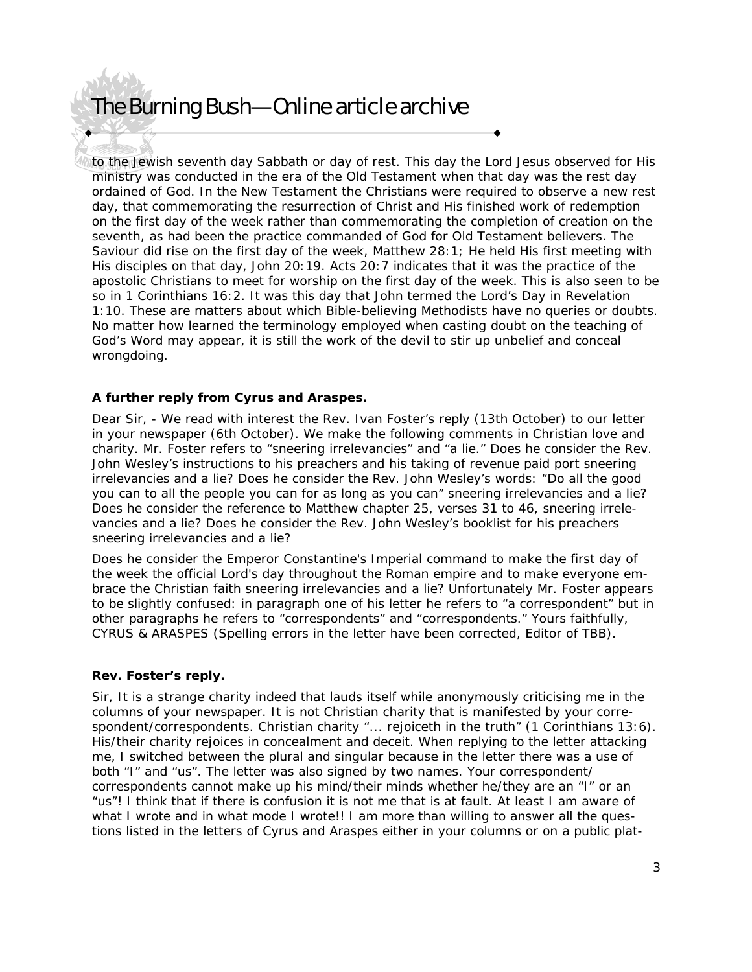to the Jewish seventh day Sabbath or day of rest. This day the Lord Jesus observed for His ministry was conducted in the era of the Old Testament when that day was the rest day ordained of God. In the New Testament the Christians were required to observe a new rest day, that commemorating the resurrection of Christ and His finished work of redemption on the first day of the week rather than commemorating the completion of creation on the seventh, as had been the practice commanded of God for Old Testament believers. The Saviour did rise on the first day of the week, Matthew 28:1; He held His first meeting with His disciples on that day, John 20:19. Acts 20:7 indicates that it was the practice of the apostolic Christians to meet for worship on the first day of the week. This is also seen to be so in 1 Corinthians 16:2. It was this day that John termed the Lord's Day in Revelation 1:10. These are matters about which Bible-believing Methodists have no queries or doubts. No matter how learned the terminology employed when casting doubt on the teaching of God's Word may appear, it is still the work of the devil to stir up unbelief and conceal wrongdoing.

#### **A further reply from Cyrus and Araspes.**

Dear Sir, - We read with interest the Rev. Ivan Foster's reply (13th October) to our letter in your newspaper (6th October). We make the following comments in Christian love and charity. Mr. Foster refers to "sneering irrelevancies" and "a lie." Does he consider the Rev. John Wesley's instructions to his preachers and his taking of revenue paid port sneering irrelevancies and a lie? Does he consider the Rev. John Wesley's words: "Do all the good you can to all the people you can for as long as you can" sneering irrelevancies and a lie? Does he consider the reference to Matthew chapter 25, verses 31 to 46, sneering irrelevancies and a lie? Does he consider the Rev. John Wesley's booklist for his preachers sneering irrelevancies and a lie?

Does he consider the Emperor Constantine's Imperial command to make the first day of the week the official Lord's day throughout the Roman empire and to make everyone embrace the Christian faith sneering irrelevancies and a lie? Unfortunately Mr. Foster appears to be slightly confused: in paragraph one of his letter he refers to "a correspondent" but in other paragraphs he refers to "correspondents" and "correspondents." Yours faithfully, CYRUS & ARASPES (Spelling errors in the letter have been corrected, Editor of TBB).

#### **Rev. Foster's reply.**

Sir, It is a strange charity indeed that lauds itself while anonymously criticising me in the columns of your newspaper. It is not Christian charity that is manifested by your correspondent/correspondents. Christian charity "... rejoiceth in the truth" (1 Corinthians 13:6). His/their charity rejoices in concealment and deceit. When replying to the letter attacking me, I switched between the plural and singular because in the letter there was a use of both "I" and "us". The letter was also signed by two names. Your correspondent/ correspondents cannot make up his mind/their minds whether he/they are an "I" or an "us"! I think that if there is confusion it is not me that is at fault. At least I am aware of what I wrote and in what mode I wrote!! I am more than willing to answer all the questions listed in the letters of Cyrus and Araspes either in your columns or on a public plat-